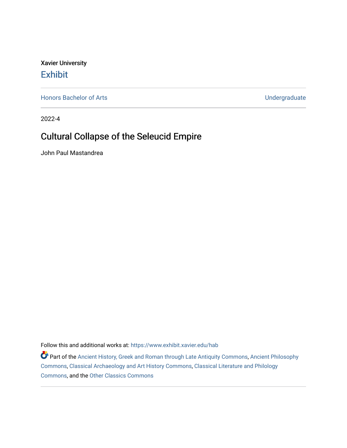Xavier University [Exhibit](https://www.exhibit.xavier.edu/) 

[Honors Bachelor of Arts](https://www.exhibit.xavier.edu/hab) [Undergraduate](https://www.exhibit.xavier.edu/undergraduate) 

2022-4

# Cultural Collapse of the Seleucid Empire

John Paul Mastandrea

Follow this and additional works at: [https://www.exhibit.xavier.edu/hab](https://www.exhibit.xavier.edu/hab?utm_source=www.exhibit.xavier.edu%2Fhab%2F51&utm_medium=PDF&utm_campaign=PDFCoverPages)

Part of the [Ancient History, Greek and Roman through Late Antiquity Commons](http://network.bepress.com/hgg/discipline/447?utm_source=www.exhibit.xavier.edu%2Fhab%2F51&utm_medium=PDF&utm_campaign=PDFCoverPages), [Ancient Philosophy](http://network.bepress.com/hgg/discipline/448?utm_source=www.exhibit.xavier.edu%2Fhab%2F51&utm_medium=PDF&utm_campaign=PDFCoverPages)  [Commons](http://network.bepress.com/hgg/discipline/448?utm_source=www.exhibit.xavier.edu%2Fhab%2F51&utm_medium=PDF&utm_campaign=PDFCoverPages), [Classical Archaeology and Art History Commons,](http://network.bepress.com/hgg/discipline/450?utm_source=www.exhibit.xavier.edu%2Fhab%2F51&utm_medium=PDF&utm_campaign=PDFCoverPages) [Classical Literature and Philology](http://network.bepress.com/hgg/discipline/451?utm_source=www.exhibit.xavier.edu%2Fhab%2F51&utm_medium=PDF&utm_campaign=PDFCoverPages) [Commons](http://network.bepress.com/hgg/discipline/451?utm_source=www.exhibit.xavier.edu%2Fhab%2F51&utm_medium=PDF&utm_campaign=PDFCoverPages), and the [Other Classics Commons](http://network.bepress.com/hgg/discipline/453?utm_source=www.exhibit.xavier.edu%2Fhab%2F51&utm_medium=PDF&utm_campaign=PDFCoverPages)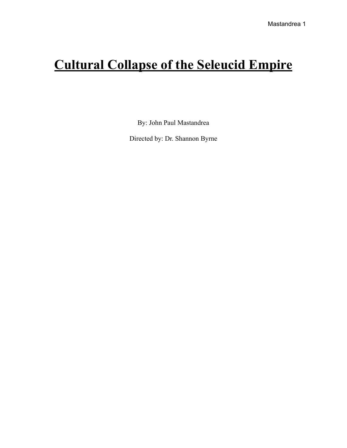# **Cultural Collapse of the Seleucid Empire**

By: John Paul Mastandrea

Directed by: Dr. Shannon Byrne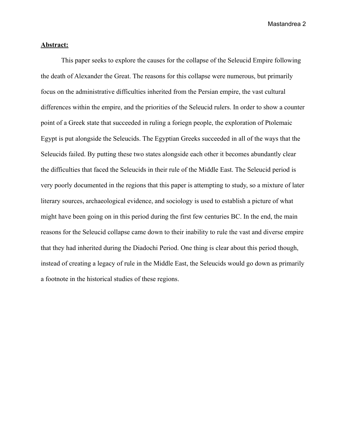# **Abstract:**

This paper seeks to explore the causes for the collapse of the Seleucid Empire following the death of Alexander the Great. The reasons for this collapse were numerous, but primarily focus on the administrative difficulties inherited from the Persian empire, the vast cultural differences within the empire, and the priorities of the Seleucid rulers. In order to show a counter point of a Greek state that succeeded in ruling a foriegn people, the exploration of Ptolemaic Egypt is put alongside the Seleucids. The Egyptian Greeks succeeded in all of the ways that the Seleucids failed. By putting these two states alongside each other it becomes abundantly clear the difficulties that faced the Seleucids in their rule of the Middle East. The Seleucid period is very poorly documented in the regions that this paper is attempting to study, so a mixture of later literary sources, archaeological evidence, and sociology is used to establish a picture of what might have been going on in this period during the first few centuries BC. In the end, the main reasons for the Seleucid collapse came down to their inability to rule the vast and diverse empire that they had inherited during the Diadochi Period. One thing is clear about this period though, instead of creating a legacy of rule in the Middle East, the Seleucids would go down as primarily a footnote in the historical studies of these regions.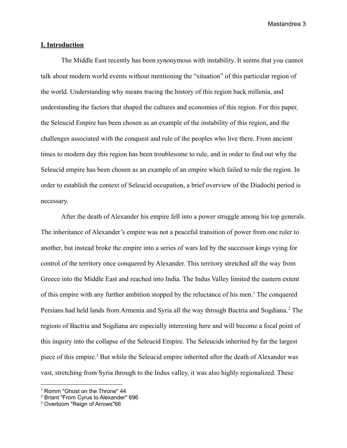# **I. Introduction**

The Middle East recently has been synonymous with instability. It seems that you cannot talk about modern world events without mentioning the "situation" of this particular region of the world. Understanding why means tracing the history of this region back millenia, and understanding the factors that shaped the cultures and economies of this region. For this paper, the Seleucid Empire has been chosen as an example of the instability of this region, and the challenges associated with the conquest and rule of the peoples who live there. From ancient times to modern day this region has been troublesome to rule, and in order to find out why the Seleucid empire has been chosen as an example of an empire which failed to rule the region. In order to establish the context of Seleucid occupation, a brief overview of the Diadochi period is necessary.

After the death of Alexander his empire fell into a power struggle among his top generals. The inheritance of Alexander's empire was not a peaceful transition of power from one ruler to another, but instead broke the empire into a series of wars led by the successor kings vying for control of the territory once conquered by Alexander. This territory stretched all the way from Greece into the Middle East and reached into India. The Indus Valley limited the eastern extent of this empire with any further ambition stopped by the reluctance of his men.<sup>1</sup> The conquered Persians had held lands from Armenia and Syria all the way through Bactria and Sogdiana.<sup>2</sup> The regions of Bactria and Sogdiana are especially interesting here and will become a focal point of this inquiry into the collapse of the Seleucid Empire. The Seleucids inherited by far the largest piece of this empire.<sup>3</sup> But while the Seleucid empire inherited after the death of Alexander was vast, stretching from Syria through to the Indus valley, it was also highly regionalized. These

<sup>&</sup>lt;sup>1</sup> Romm "Ghost on the Throne" 44

<sup>&</sup>lt;sup>2</sup> Briant "From Cyrus to Alexander" 696

<sup>3</sup> Overtoom "Reign of Arrows"66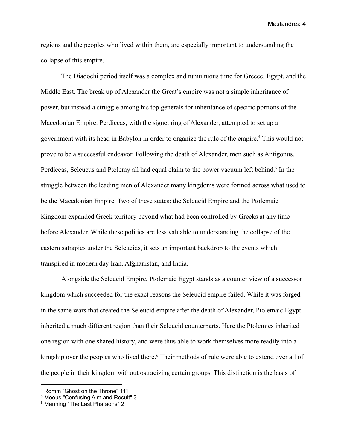regions and the peoples who lived within them, are especially important to understanding the collapse of this empire.

The Diadochi period itself was a complex and tumultuous time for Greece, Egypt, and the Middle East. The break up of Alexander the Great's empire was not a simple inheritance of power, but instead a struggle among his top generals for inheritance of specific portions of the Macedonian Empire. Perdiccas, with the signet ring of Alexander, attempted to set up a government with its head in Babylon in order to organize the rule of the empire.<sup>4</sup> This would not prove to be a successful endeavor. Following the death of Alexander, men such as Antigonus, Perdiccas, Seleucus and Ptolemy all had equal claim to the power vacuum left behind.<sup>5</sup> In the struggle between the leading men of Alexander many kingdoms were formed across what used to be the Macedonian Empire. Two of these states: the Seleucid Empire and the Ptolemaic Kingdom expanded Greek territory beyond what had been controlled by Greeks at any time before Alexander. While these politics are less valuable to understanding the collapse of the eastern satrapies under the Seleucids, it sets an important backdrop to the events which transpired in modern day Iran, Afghanistan, and India.

Alongside the Seleucid Empire, Ptolemaic Egypt stands as a counter view of a successor kingdom which succeeded for the exact reasons the Seleucid empire failed. While it was forged in the same wars that created the Seleucid empire after the death of Alexander, Ptolemaic Egypt inherited a much different region than their Seleucid counterparts. Here the Ptolemies inherited one region with one shared history, and were thus able to work themselves more readily into a kingship over the peoples who lived there.<sup>6</sup> Their methods of rule were able to extend over all of the people in their kingdom without ostracizing certain groups. This distinction is the basis of

<sup>4</sup> Romm "Ghost on the Throne" 111

<sup>5</sup> Meeus "Confusing Aim and Result" 3

<sup>6</sup> Manning "The Last Pharaohs" 2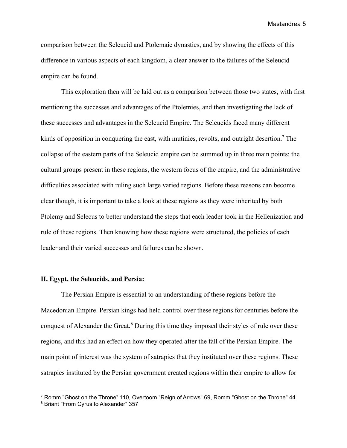comparison between the Seleucid and Ptolemaic dynasties, and by showing the effects of this difference in various aspects of each kingdom, a clear answer to the failures of the Seleucid empire can be found.

This exploration then will be laid out as a comparison between those two states, with first mentioning the successes and advantages of the Ptolemies, and then investigating the lack of these successes and advantages in the Seleucid Empire. The Seleucids faced many different kinds of opposition in conquering the east, with mutinies, revolts, and outright desertion.<sup>7</sup> The collapse of the eastern parts of the Seleucid empire can be summed up in three main points: the cultural groups present in these regions, the western focus of the empire, and the administrative difficulties associated with ruling such large varied regions. Before these reasons can become clear though, it is important to take a look at these regions as they were inherited by both Ptolemy and Selecus to better understand the steps that each leader took in the Hellenization and rule of these regions. Then knowing how these regions were structured, the policies of each leader and their varied successes and failures can be shown.

# **II. Egypt, the Seleucids, and Persia:**

The Persian Empire is essential to an understanding of these regions before the Macedonian Empire. Persian kings had held control over these regions for centuries before the conquest of Alexander the Great.<sup>8</sup> During this time they imposed their styles of rule over these regions, and this had an effect on how they operated after the fall of the Persian Empire. The main point of interest was the system of satrapies that they instituted over these regions. These satrapies instituted by the Persian government created regions within their empire to allow for

<sup>&</sup>lt;sup>7</sup> Romm "Ghost on the Throne" 110, Overtoom "Reign of Arrows" 69, Romm "Ghost on the Throne" 44

<sup>8</sup> Briant "From Cyrus to Alexander" 357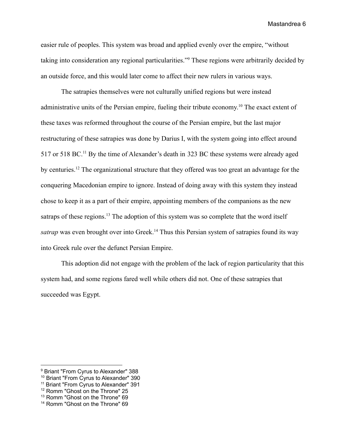easier rule of peoples. This system was broad and applied evenly over the empire, "without taking into consideration any regional particularities."<sup>9</sup> These regions were arbitrarily decided by an outside force, and this would later come to affect their new rulers in various ways.

The satrapies themselves were not culturally unified regions but were instead administrative units of the Persian empire, fueling their tribute economy. <sup>10</sup> The exact extent of these taxes was reformed throughout the course of the Persian empire, but the last major restructuring of these satrapies was done by Darius I, with the system going into effect around 517 or 518 BC.<sup>11</sup> By the time of Alexander's death in 323 BC these systems were already aged by centuries.<sup>12</sup> The organizational structure that they offered was too great an advantage for the conquering Macedonian empire to ignore. Instead of doing away with this system they instead chose to keep it as a part of their empire, appointing members of the companions as the new satraps of these regions.<sup>13</sup> The adoption of this system was so complete that the word itself *satrap* was even brought over into Greek.<sup>14</sup> Thus this Persian system of satrapies found its way into Greek rule over the defunct Persian Empire.

This adoption did not engage with the problem of the lack of region particularity that this system had, and some regions fared well while others did not. One of these satrapies that succeeded was Egypt.

<sup>9</sup> Briant "From Cyrus to Alexander" 388

<sup>10</sup> Briant "From Cyrus to Alexander" 390

<sup>&</sup>lt;sup>11</sup> Briant "From Cyrus to Alexander" 391

<sup>&</sup>lt;sup>12</sup> Romm "Ghost on the Throne" 25

<sup>13</sup> Romm "Ghost on the Throne" 69

<sup>&</sup>lt;sup>14</sup> Romm "Ghost on the Throne" 69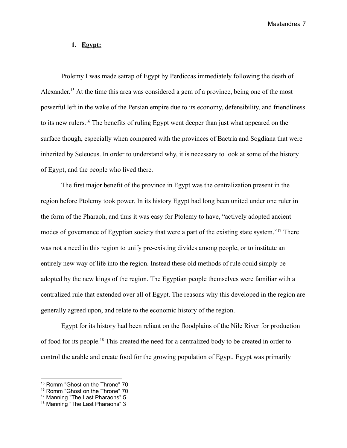# **1. Egypt:**

Ptolemy I was made satrap of Egypt by Perdiccas immediately following the death of Alexander.<sup>15</sup> At the time this area was considered a gem of a province, being one of the most powerful left in the wake of the Persian empire due to its economy, defensibility, and friendliness to its new rulers.<sup>16</sup> The benefits of ruling Egypt went deeper than just what appeared on the surface though, especially when compared with the provinces of Bactria and Sogdiana that were inherited by Seleucus. In order to understand why, it is necessary to look at some of the history of Egypt, and the people who lived there.

The first major benefit of the province in Egypt was the centralization present in the region before Ptolemy took power. In its history Egypt had long been united under one ruler in the form of the Pharaoh, and thus it was easy for Ptolemy to have, "actively adopted ancient modes of governance of Egyptian society that were a part of the existing state system."<sup>17</sup> There was not a need in this region to unify pre-existing divides among people, or to institute an entirely new way of life into the region. Instead these old methods of rule could simply be adopted by the new kings of the region. The Egyptian people themselves were familiar with a centralized rule that extended over all of Egypt. The reasons why this developed in the region are generally agreed upon, and relate to the economic history of the region.

Egypt for its history had been reliant on the floodplains of the Nile River for production of food for its people.<sup>18</sup> This created the need for a centralized body to be created in order to control the arable and create food for the growing population of Egypt. Egypt was primarily

<sup>&</sup>lt;sup>15</sup> Romm "Ghost on the Throne" 70

<sup>&</sup>lt;sup>16</sup> Romm "Ghost on the Throne" 70

<sup>&</sup>lt;sup>17</sup> Manning "The Last Pharaohs" 5

<sup>&</sup>lt;sup>18</sup> Manning "The Last Pharaohs" 3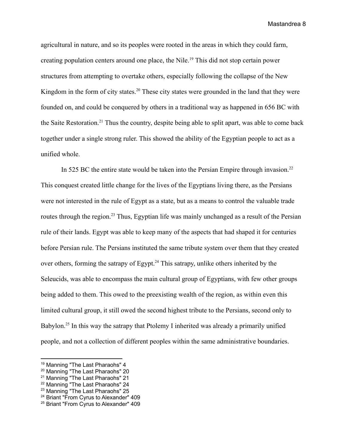agricultural in nature, and so its peoples were rooted in the areas in which they could farm, creating population centers around one place, the Nile.<sup>19</sup> This did not stop certain power structures from attempting to overtake others, especially following the collapse of the New Kingdom in the form of city states.<sup>20</sup> These city states were grounded in the land that they were founded on, and could be conquered by others in a traditional way as happened in 656 BC with the Saite Restoration.<sup>21</sup> Thus the country, despite being able to split apart, was able to come back together under a single strong ruler. This showed the ability of the Egyptian people to act as a unified whole.

In 525 BC the entire state would be taken into the Persian Empire through invasion.<sup>22</sup> This conquest created little change for the lives of the Egyptians living there, as the Persians were not interested in the rule of Egypt as a state, but as a means to control the valuable trade routes through the region.<sup>23</sup> Thus, Egyptian life was mainly unchanged as a result of the Persian rule of their lands. Egypt was able to keep many of the aspects that had shaped it for centuries before Persian rule. The Persians instituted the same tribute system over them that they created over others, forming the satrapy of Egypt.<sup>24</sup> This satrapy, unlike others inherited by the Seleucids, was able to encompass the main cultural group of Egyptians, with few other groups being added to them. This owed to the preexisting wealth of the region, as within even this limited cultural group, it still owed the second highest tribute to the Persians, second only to Babylon.<sup>25</sup> In this way the satrapy that Ptolemy I inherited was already a primarily unified people, and not a collection of different peoples within the same administrative boundaries.

<sup>&</sup>lt;sup>19</sup> Manning "The Last Pharaohs" 4

<sup>20</sup> Manning "The Last Pharaohs" 20

<sup>&</sup>lt;sup>21</sup> Manning "The Last Pharaohs" 21

<sup>&</sup>lt;sup>22</sup> Manning "The Last Pharaohs" 24

<sup>&</sup>lt;sup>23</sup> Manning "The Last Pharaohs" 25

<sup>&</sup>lt;sup>24</sup> Briant "From Cyrus to Alexander" 409

<sup>25</sup> Briant "From Cyrus to Alexander" 409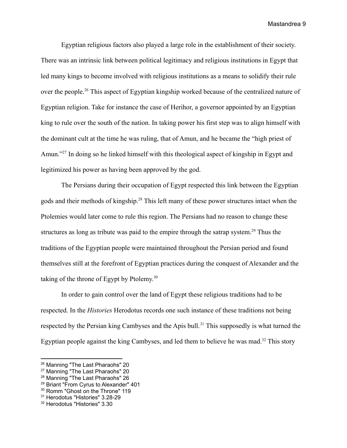Egyptian religious factors also played a large role in the establishment of their society. There was an intrinsic link between political legitimacy and religious institutions in Egypt that led many kings to become involved with religious institutions as a means to solidify their rule over the people.<sup>26</sup> This aspect of Egyptian kingship worked because of the centralized nature of Egyptian religion. Take for instance the case of Herihor, a governor appointed by an Egyptian king to rule over the south of the nation. In taking power his first step was to align himself with the dominant cult at the time he was ruling, that of Amun, and he became the "high priest of Amun."<sup>27</sup> In doing so he linked himself with this theological aspect of kingship in Egypt and legitimized his power as having been approved by the god.

The Persians during their occupation of Egypt respected this link between the Egyptian gods and their methods of kingship.<sup>28</sup> This left many of these power structures intact when the Ptolemies would later come to rule this region. The Persians had no reason to change these structures as long as tribute was paid to the empire through the satrap system.<sup>29</sup> Thus the traditions of the Egyptian people were maintained throughout the Persian period and found themselves still at the forefront of Egyptian practices during the conquest of Alexander and the taking of the throne of Egypt by Ptolemy.<sup>30</sup>

In order to gain control over the land of Egypt these religious traditions had to be respected. In the *Histories* Herodotus records one such instance of these traditions not being respected by the Persian king Cambyses and the Apis bull.<sup>31</sup> This supposedly is what turned the Egyptian people against the king Cambyses, and led them to believe he was mad.<sup>32</sup> This story

<sup>&</sup>lt;sup>26</sup> Manning "The Last Pharaohs" 20

<sup>&</sup>lt;sup>27</sup> Manning "The Last Pharaohs" 20

<sup>28</sup> Manning "The Last Pharaohs" 26

<sup>&</sup>lt;sup>29</sup> Briant "From Cyrus to Alexander" 401

<sup>&</sup>lt;sup>30</sup> Romm "Ghost on the Throne" 119

<sup>31</sup> Herodotus "Histories" 3.28-29

<sup>32</sup> Herodotus "Histories" 3.30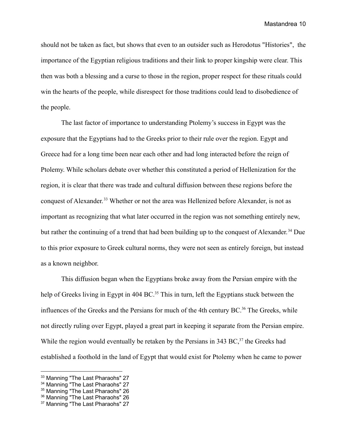should not be taken as fact, but shows that even to an outsider such as Herodotus "Histories", the importance of the Egyptian religious traditions and their link to proper kingship were clear. This then was both a blessing and a curse to those in the region, proper respect for these rituals could win the hearts of the people, while disrespect for those traditions could lead to disobedience of the people.

The last factor of importance to understanding Ptolemy's success in Egypt was the exposure that the Egyptians had to the Greeks prior to their rule over the region. Egypt and Greece had for a long time been near each other and had long interacted before the reign of Ptolemy. While scholars debate over whether this constituted a period of Hellenization for the region, it is clear that there was trade and cultural diffusion between these regions before the conquest of Alexander. <sup>33</sup> Whether or not the area was Hellenized before Alexander, is not as important as recognizing that what later occurred in the region was not something entirely new, but rather the continuing of a trend that had been building up to the conquest of Alexander.<sup>34</sup> Due to this prior exposure to Greek cultural norms, they were not seen as entirely foreign, but instead as a known neighbor.

This diffusion began when the Egyptians broke away from the Persian empire with the help of Greeks living in Egypt in 404 BC.<sup>35</sup> This in turn, left the Egyptians stuck between the influences of the Greeks and the Persians for much of the 4th century BC.<sup>36</sup> The Greeks, while not directly ruling over Egypt, played a great part in keeping it separate from the Persian empire. While the region would eventually be retaken by the Persians in 343 BC, $37$  the Greeks had established a foothold in the land of Egypt that would exist for Ptolemy when he came to power

<sup>&</sup>lt;sup>33</sup> Manning "The Last Pharaohs" 27

<sup>&</sup>lt;sup>34</sup> Manning "The Last Pharaohs" 27

<sup>&</sup>lt;sup>35</sup> Manning "The Last Pharaohs" 26

<sup>&</sup>lt;sup>36</sup> Manning "The Last Pharaohs" 26

<sup>&</sup>lt;sup>37</sup> Manning "The Last Pharaohs" 27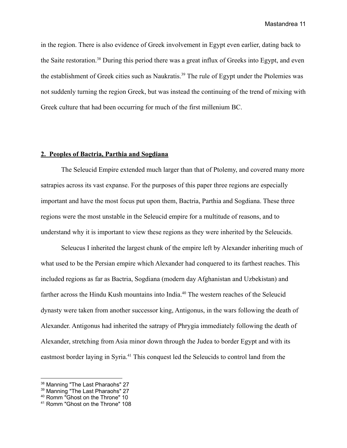in the region. There is also evidence of Greek involvement in Egypt even earlier, dating back to the Saite restoration.<sup>38</sup> During this period there was a great influx of Greeks into Egypt, and even the establishment of Greek cities such as Naukratis.<sup>39</sup> The rule of Egypt under the Ptolemies was not suddenly turning the region Greek, but was instead the continuing of the trend of mixing with Greek culture that had been occurring for much of the first millenium BC.

### **2. Peoples of Bactria, Parthia and Sogdiana**

The Seleucid Empire extended much larger than that of Ptolemy, and covered many more satrapies across its vast expanse. For the purposes of this paper three regions are especially important and have the most focus put upon them, Bactria, Parthia and Sogdiana. These three regions were the most unstable in the Seleucid empire for a multitude of reasons, and to understand why it is important to view these regions as they were inherited by the Seleucids.

Seleucus I inherited the largest chunk of the empire left by Alexander inheriting much of what used to be the Persian empire which Alexander had conquered to its farthest reaches. This included regions as far as Bactria, Sogdiana (modern day Afghanistan and Uzbekistan) and farther across the Hindu Kush mountains into India.<sup>40</sup> The western reaches of the Seleucid dynasty were taken from another successor king, Antigonus, in the wars following the death of Alexander. Antigonus had inherited the satrapy of Phrygia immediately following the death of Alexander, stretching from Asia minor down through the Judea to border Egypt and with its eastmost border laying in Syria.<sup>41</sup> This conquest led the Seleucids to control land from the

<sup>&</sup>lt;sup>38</sup> Manning "The Last Pharaohs" 27

<sup>&</sup>lt;sup>39</sup> Manning "The Last Pharaohs" 27

<sup>40</sup> Romm "Ghost on the Throne" 10

<sup>41</sup> Romm "Ghost on the Throne" 108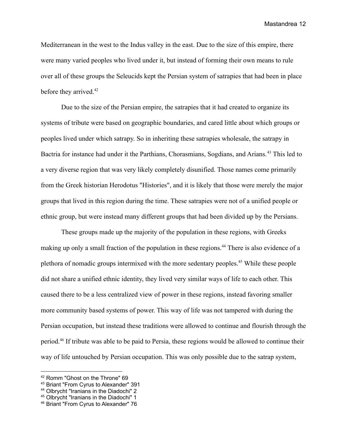Mediterranean in the west to the Indus valley in the east. Due to the size of this empire, there were many varied peoples who lived under it, but instead of forming their own means to rule over all of these groups the Seleucids kept the Persian system of satrapies that had been in place before they arrived.<sup>42</sup>

Due to the size of the Persian empire, the satrapies that it had created to organize its systems of tribute were based on geographic boundaries, and cared little about which groups or peoples lived under which satrapy. So in inheriting these satrapies wholesale, the satrapy in Bactria for instance had under it the Parthians, Chorasmians, Sogdians, and Arians.<sup>43</sup> This led to a very diverse region that was very likely completely disunified. Those names come primarily from the Greek historian Herodotus "Histories", and it is likely that those were merely the major groups that lived in this region during the time. These satrapies were not of a unified people or ethnic group, but were instead many different groups that had been divided up by the Persians.

These groups made up the majority of the population in these regions, with Greeks making up only a small fraction of the population in these regions.<sup>44</sup> There is also evidence of a plethora of nomadic groups intermixed with the more sedentary peoples.<sup>45</sup> While these people did not share a unified ethnic identity, they lived very similar ways of life to each other. This caused there to be a less centralized view of power in these regions, instead favoring smaller more community based systems of power. This way of life was not tampered with during the Persian occupation, but instead these traditions were allowed to continue and flourish through the period.<sup>46</sup> If tribute was able to be paid to Persia, these regions would be allowed to continue their way of life untouched by Persian occupation. This was only possible due to the satrap system,

<sup>42</sup> Romm "Ghost on the Throne" 69

<sup>43</sup> Briant "From Cyrus to Alexander" 391

<sup>44</sup> Olbrycht "Iranians in the Diadochi" 2

<sup>45</sup> Olbrycht "Iranians in the Diadochi" 1

<sup>46</sup> Briant "From Cyrus to Alexander" 76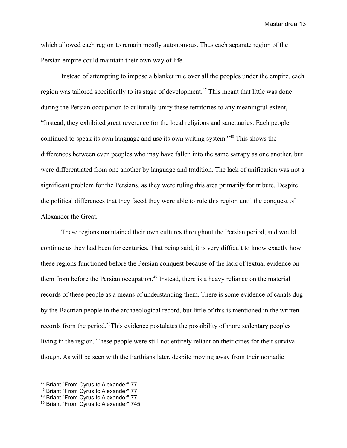which allowed each region to remain mostly autonomous. Thus each separate region of the Persian empire could maintain their own way of life.

Instead of attempting to impose a blanket rule over all the peoples under the empire, each region was tailored specifically to its stage of development.<sup>47</sup> This meant that little was done during the Persian occupation to culturally unify these territories to any meaningful extent, "Instead, they exhibited great reverence for the local religions and sanctuaries. Each people continued to speak its own language and use its own writing system."<sup>48</sup> This shows the differences between even peoples who may have fallen into the same satrapy as one another, but were differentiated from one another by language and tradition. The lack of unification was not a significant problem for the Persians, as they were ruling this area primarily for tribute. Despite the political differences that they faced they were able to rule this region until the conquest of Alexander the Great.

These regions maintained their own cultures throughout the Persian period, and would continue as they had been for centuries. That being said, it is very difficult to know exactly how these regions functioned before the Persian conquest because of the lack of textual evidence on them from before the Persian occupation.<sup>49</sup> Instead, there is a heavy reliance on the material records of these people as a means of understanding them. There is some evidence of canals dug by the Bactrian people in the archaeological record, but little of this is mentioned in the written records from the period.<sup>50</sup>This evidence postulates the possibility of more sedentary peoples living in the region. These people were still not entirely reliant on their cities for their survival though. As will be seen with the Parthians later, despite moving away from their nomadic

<sup>47</sup> Briant "From Cyrus to Alexander" 77

<sup>48</sup> Briant "From Cyrus to Alexander" 77

<sup>49</sup> Briant "From Cyrus to Alexander" 77

<sup>50</sup> Briant "From Cyrus to Alexander" 745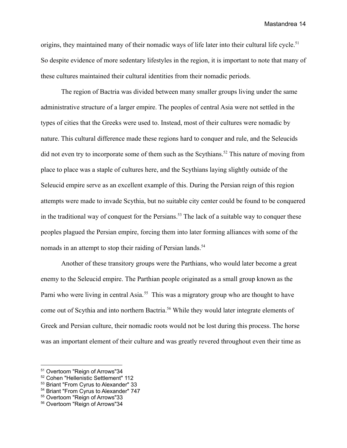origins, they maintained many of their nomadic ways of life later into their cultural life cycle.<sup>51</sup> So despite evidence of more sedentary lifestyles in the region, it is important to note that many of these cultures maintained their cultural identities from their nomadic periods.

The region of Bactria was divided between many smaller groups living under the same administrative structure of a larger empire. The peoples of central Asia were not settled in the types of cities that the Greeks were used to. Instead, most of their cultures were nomadic by nature. This cultural difference made these regions hard to conquer and rule, and the Seleucids did not even try to incorporate some of them such as the Scythians.<sup>52</sup> This nature of moving from place to place was a staple of cultures here, and the Scythians laying slightly outside of the Seleucid empire serve as an excellent example of this. During the Persian reign of this region attempts were made to invade Scythia, but no suitable city center could be found to be conquered in the traditional way of conquest for the Persians.<sup>53</sup> The lack of a suitable way to conquer these peoples plagued the Persian empire, forcing them into later forming alliances with some of the nomads in an attempt to stop their raiding of Persian lands.<sup>54</sup>

Another of these transitory groups were the Parthians, who would later become a great enemy to the Seleucid empire. The Parthian people originated as a small group known as the Parni who were living in central Asia.<sup>55</sup> This was a migratory group who are thought to have come out of Scythia and into northern Bactria.<sup>56</sup> While they would later integrate elements of Greek and Persian culture, their nomadic roots would not be lost during this process. The horse was an important element of their culture and was greatly revered throughout even their time as

<sup>51</sup> Overtoom "Reign of Arrows"34

<sup>52</sup> Cohen "Hellenistic Settlement" 112

<sup>53</sup> Briant "From Cyrus to Alexander" 33

<sup>54</sup> Briant "From Cyrus to Alexander" 747

<sup>55</sup> Overtoom "Reign of Arrows"33

<sup>56</sup> Overtoom "Reign of Arrows"34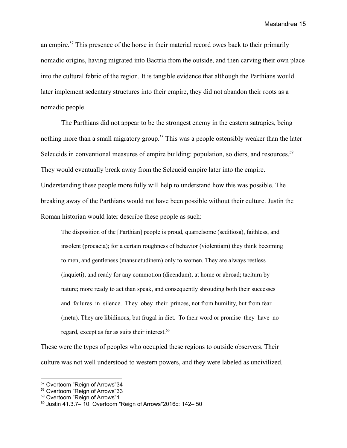an empire.<sup>57</sup> This presence of the horse in their material record owes back to their primarily nomadic origins, having migrated into Bactria from the outside, and then carving their own place into the cultural fabric of the region. It is tangible evidence that although the Parthians would later implement sedentary structures into their empire, they did not abandon their roots as a nomadic people.

The Parthians did not appear to be the strongest enemy in the eastern satrapies, being nothing more than a small migratory group.<sup>58</sup> This was a people ostensibly weaker than the later Seleucids in conventional measures of empire building: population, soldiers, and resources.<sup>59</sup> They would eventually break away from the Seleucid empire later into the empire. Understanding these people more fully will help to understand how this was possible. The breaking away of the Parthians would not have been possible without their culture. Justin the Roman historian would later describe these people as such:

The disposition of the [Parthian] people is proud, quarrelsome (seditiosa), faithless, and insolent (procacia); for a certain roughness of behavior (violentiam) they think becoming to men, and gentleness (mansuetudinem) only to women. They are always restless (inquieti), and ready for any commotion (dicendum), at home or abroad; taciturn by nature; more ready to act than speak, and consequently shrouding both their successes and failures in silence. They obey their princes, not from humility, but from fear (metu). They are libidinous, but frugal in diet. To their word or promise they have no regard, except as far as suits their interest. 60

These were the types of peoples who occupied these regions to outside observers. Their culture was not well understood to western powers, and they were labeled as uncivilized.

<sup>57</sup> Overtoom "Reign of Arrows"34

<sup>58</sup> Overtoom "Reign of Arrows"33

<sup>59</sup> Overtoom "Reign of Arrows"1

 $60$  Justin 41.3.7 – 10. Overtoom "Reign of Arrows" 2016c: 142 – 50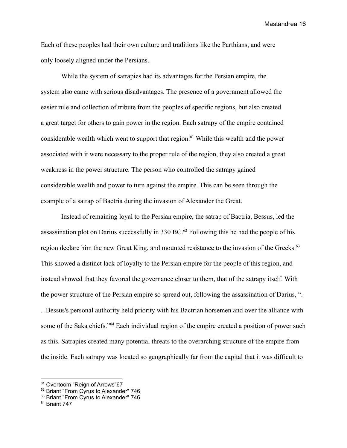Each of these peoples had their own culture and traditions like the Parthians, and were only loosely aligned under the Persians.

While the system of satrapies had its advantages for the Persian empire, the system also came with serious disadvantages. The presence of a government allowed the easier rule and collection of tribute from the peoples of specific regions, but also created a great target for others to gain power in the region. Each satrapy of the empire contained considerable wealth which went to support that region.<sup>61</sup> While this wealth and the power associated with it were necessary to the proper rule of the region, they also created a great weakness in the power structure. The person who controlled the satrapy gained considerable wealth and power to turn against the empire. This can be seen through the example of a satrap of Bactria during the invasion of Alexander the Great.

Instead of remaining loyal to the Persian empire, the satrap of Bactria, Bessus, led the assassination plot on Darius successfully in 330 BC.<sup>62</sup> Following this he had the people of his region declare him the new Great King, and mounted resistance to the invasion of the Greeks.<sup>63</sup> This showed a distinct lack of loyalty to the Persian empire for the people of this region, and instead showed that they favored the governance closer to them, that of the satrapy itself. With the power structure of the Persian empire so spread out, following the assassination of Darius, ". . .Bessus's personal authority held priority with his Bactrian horsemen and over the alliance with some of the Saka chiefs."<sup>64</sup> Each individual region of the empire created a position of power such as this. Satrapies created many potential threats to the overarching structure of the empire from the inside. Each satrapy was located so geographically far from the capital that it was difficult to

<sup>&</sup>lt;sup>61</sup> Overtoom "Reign of Arrows"67

<sup>&</sup>lt;sup>62</sup> Briant "From Cyrus to Alexander" 746

<sup>&</sup>lt;sup>63</sup> Briant "From Cyrus to Alexander" 746

<sup>64</sup> Braint 747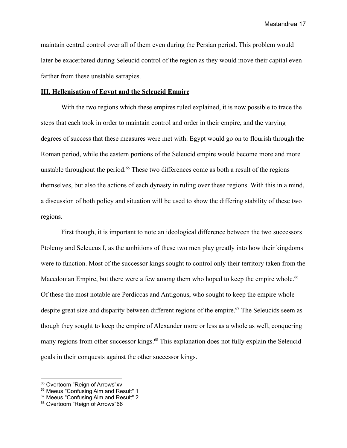maintain central control over all of them even during the Persian period. This problem would later be exacerbated during Seleucid control of the region as they would move their capital even farther from these unstable satrapies.

#### **III. Hellenisation of Egypt and the Seleucid Empire**

With the two regions which these empires ruled explained, it is now possible to trace the steps that each took in order to maintain control and order in their empire, and the varying degrees of success that these measures were met with. Egypt would go on to flourish through the Roman period, while the eastern portions of the Seleucid empire would become more and more unstable throughout the period.<sup> $65$ </sup> These two differences come as both a result of the regions themselves, but also the actions of each dynasty in ruling over these regions. With this in a mind, a discussion of both policy and situation will be used to show the differing stability of these two regions.

First though, it is important to note an ideological difference between the two successors Ptolemy and Seleucus I, as the ambitions of these two men play greatly into how their kingdoms were to function. Most of the successor kings sought to control only their territory taken from the Macedonian Empire, but there were a few among them who hoped to keep the empire whole.<sup>66</sup> Of these the most notable are Perdiccas and Antigonus, who sought to keep the empire whole despite great size and disparity between different regions of the empire.<sup>67</sup> The Seleucids seem as though they sought to keep the empire of Alexander more or less as a whole as well, conquering many regions from other successor kings.<sup>68</sup> This explanation does not fully explain the Seleucid goals in their conquests against the other successor kings.

<sup>&</sup>lt;sup>65</sup> Overtoom "Reign of Arrows"xv

<sup>&</sup>lt;sup>66</sup> Meeus "Confusing Aim and Result" 1

<sup>&</sup>lt;sup>67</sup> Meeus "Confusing Aim and Result" 2

<sup>68</sup> Overtoom "Reign of Arrows"66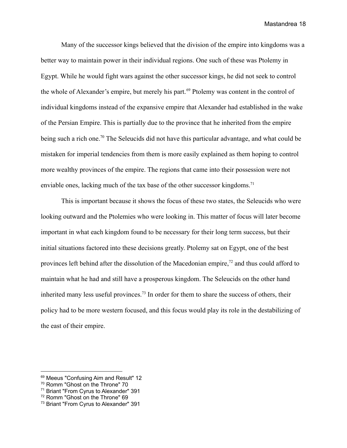Many of the successor kings believed that the division of the empire into kingdoms was a better way to maintain power in their individual regions. One such of these was Ptolemy in Egypt. While he would fight wars against the other successor kings, he did not seek to control the whole of Alexander's empire, but merely his part.<sup>69</sup> Ptolemy was content in the control of individual kingdoms instead of the expansive empire that Alexander had established in the wake of the Persian Empire. This is partially due to the province that he inherited from the empire being such a rich one.<sup>70</sup> The Seleucids did not have this particular advantage, and what could be mistaken for imperial tendencies from them is more easily explained as them hoping to control more wealthy provinces of the empire. The regions that came into their possession were not enviable ones, lacking much of the tax base of the other successor kingdoms.<sup>71</sup>

This is important because it shows the focus of these two states, the Seleucids who were looking outward and the Ptolemies who were looking in. This matter of focus will later become important in what each kingdom found to be necessary for their long term success, but their initial situations factored into these decisions greatly. Ptolemy sat on Egypt, one of the best provinces left behind after the dissolution of the Macedonian empire,<sup>72</sup> and thus could afford to maintain what he had and still have a prosperous kingdom. The Seleucids on the other hand inherited many less useful provinces.<sup>73</sup> In order for them to share the success of others, their policy had to be more western focused, and this focus would play its role in the destabilizing of the east of their empire.

<sup>69</sup> Meeus "Confusing Aim and Result" 12

<sup>70</sup> Romm "Ghost on the Throne" 70

<sup>71</sup> Briant "From Cyrus to Alexander" 391

<sup>72</sup> Romm "Ghost on the Throne" 69

<sup>73</sup> Briant "From Cyrus to Alexander" 391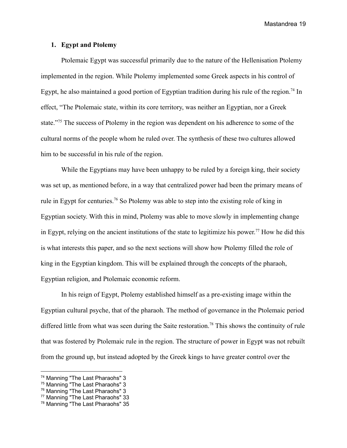#### **1. Egypt and Ptolemy**

Ptolemaic Egypt was successful primarily due to the nature of the Hellenisation Ptolemy implemented in the region. While Ptolemy implemented some Greek aspects in his control of Egypt, he also maintained a good portion of Egyptian tradition during his rule of the region.<sup>74</sup> In effect, "The Ptolemaic state, within its core territory, was neither an Egyptian, nor a Greek state."<sup>75</sup> The success of Ptolemy in the region was dependent on his adherence to some of the cultural norms of the people whom he ruled over. The synthesis of these two cultures allowed him to be successful in his rule of the region.

While the Egyptians may have been unhappy to be ruled by a foreign king, their society was set up, as mentioned before, in a way that centralized power had been the primary means of rule in Egypt for centuries.<sup>76</sup> So Ptolemy was able to step into the existing role of king in Egyptian society. With this in mind, Ptolemy was able to move slowly in implementing change in Egypt, relying on the ancient institutions of the state to legitimize his power. <sup>77</sup> How he did this is what interests this paper, and so the next sections will show how Ptolemy filled the role of king in the Egyptian kingdom. This will be explained through the concepts of the pharaoh, Egyptian religion, and Ptolemaic economic reform.

In his reign of Egypt, Ptolemy established himself as a pre-existing image within the Egyptian cultural psyche, that of the pharaoh. The method of governance in the Ptolemaic period differed little from what was seen during the Saite restoration.<sup>78</sup> This shows the continuity of rule that was fostered by Ptolemaic rule in the region. The structure of power in Egypt was not rebuilt from the ground up, but instead adopted by the Greek kings to have greater control over the

<sup>&</sup>lt;sup>74</sup> Manning "The Last Pharaohs" 3

<sup>&</sup>lt;sup>75</sup> Manning "The Last Pharaohs" 3

<sup>&</sup>lt;sup>76</sup> Manning "The Last Pharaohs" 3

<sup>&</sup>lt;sup>77</sup> Manning "The Last Pharaohs" 33

<sup>&</sup>lt;sup>78</sup> Manning "The Last Pharaohs" 35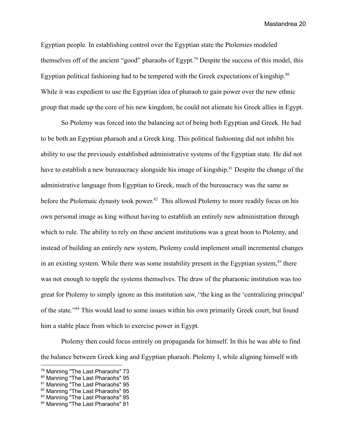Egyptian people. In establishing control over the Egyptian state the Ptolemies modeled themselves off of the ancient "good" pharaohs of Egypt.<sup>79</sup> Despite the success of this model, this Egyptian political fashioning had to be tempered with the Greek expectations of kingship. $80$ While it was expedient to use the Egyptian idea of pharaoh to gain power over the new ethnic group that made up the core of his new kingdom, he could not alienate his Greek allies in Egypt.

So Ptolemy was forced into the balancing act of being both Egyptian and Greek. He had to be both an Egyptian pharaoh and a Greek king. This political fashioning did not inhibit his ability to use the previously established administrative systems of the Egyptian state. He did not have to establish a new bureaucracy alongside his image of kingship.<sup>81</sup> Despite the change of the administrative language from Egyptian to Greek, much of the bureaucracy was the same as before the Ptolemaic dynasty took power.<sup>82</sup> This allowed Ptolemy to more readily focus on his own personal image as king without having to establish an entirely new administration through which to rule. The ability to rely on these ancient institutions was a great boon to Ptolemy, and instead of building an entirely new system, Ptolemy could implement small incremental changes in an existing system. While there was some instability present in the Egyptian system, $83$  there was not enough to topple the systems themselves. The draw of the pharaonic institution was too great for Ptolemy to simply ignore as this institution saw, "the king as the 'centralizing principal' of the state."<sup>84</sup> This would lead to some issues within his own primarily Greek court, but found him a stable place from which to exercise power in Egypt.

Ptolemy then could focus entirely on propaganda for himself. In this he was able to find the balance between Greek king and Egyptian pharaoh. Ptolemy I, while aligning himself with

<sup>&</sup>lt;sup>79</sup> Manning "The Last Pharaohs" 73

<sup>&</sup>lt;sup>80</sup> Manning "The Last Pharaohs" 95

<sup>&</sup>lt;sup>81</sup> Manning "The Last Pharaohs" 95

<sup>&</sup>lt;sup>82</sup> Manning "The Last Pharaohs" 95

<sup>&</sup>lt;sup>83</sup> Manning "The Last Pharaohs" 95

<sup>&</sup>lt;sup>84</sup> Manning "The Last Pharaohs" 81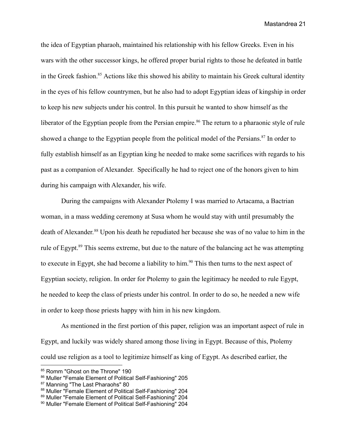the idea of Egyptian pharaoh, maintained his relationship with his fellow Greeks. Even in his wars with the other successor kings, he offered proper burial rights to those he defeated in battle in the Greek fashion.<sup>85</sup> Actions like this showed his ability to maintain his Greek cultural identity in the eyes of his fellow countrymen, but he also had to adopt Egyptian ideas of kingship in order to keep his new subjects under his control. In this pursuit he wanted to show himself as the liberator of the Egyptian people from the Persian empire.<sup>86</sup> The return to a pharaonic style of rule showed a change to the Egyptian people from the political model of the Persians.<sup>87</sup> In order to fully establish himself as an Egyptian king he needed to make some sacrifices with regards to his past as a companion of Alexander. Specifically he had to reject one of the honors given to him during his campaign with Alexander, his wife.

During the campaigns with Alexander Ptolemy I was married to Artacama, a Bactrian woman, in a mass wedding ceremony at Susa whom he would stay with until presumably the death of Alexander. <sup>88</sup> Upon his death he repudiated her because she was of no value to him in the rule of Egypt.<sup>89</sup> This seems extreme, but due to the nature of the balancing act he was attempting to execute in Egypt, she had become a liability to him.<sup>90</sup> This then turns to the next aspect of Egyptian society, religion. In order for Ptolemy to gain the legitimacy he needed to rule Egypt, he needed to keep the class of priests under his control. In order to do so, he needed a new wife in order to keep those priests happy with him in his new kingdom.

As mentioned in the first portion of this paper, religion was an important aspect of rule in Egypt, and luckily was widely shared among those living in Egypt. Because of this, Ptolemy could use religion as a tool to legitimize himself as king of Egypt. As described earlier, the

<sup>85</sup> Romm "Ghost on the Throne" 190

<sup>86</sup> Muller "Female Element of Political Self-Fashioning" 205

<sup>87</sup> Manning "The Last Pharaohs" 80

<sup>88</sup> Muller "Female Element of Political Self-Fashioning" 204

<sup>89</sup> Muller "Female Element of Political Self-Fashioning" 204

<sup>90</sup> Muller "Female Element of Political Self-Fashioning" 204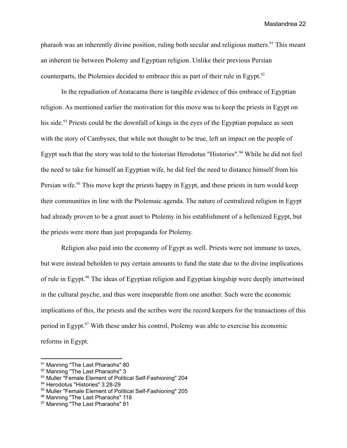pharaoh was an inherently divine position, ruling both secular and religious matters.<sup>91</sup> This meant an inherent tie between Ptolemy and Egyptian religion. Unlike their previous Persian counterparts, the Ptolemies decided to embrace this as part of their rule in Egypt.<sup>92</sup>

In the repudiation of Aratacama there is tangible evidence of this embrace of Egyptian religion. As mentioned earlier the motivation for this move was to keep the priests in Egypt on his side.<sup>93</sup> Priests could be the downfall of kings in the eyes of the Egyptian populace as seen with the story of Cambyses, that while not thought to be true, left an impact on the people of Egypt such that the story was told to the historian Herodotus "Histories".<sup>94</sup> While he did not feel the need to take for himself an Egyptian wife, he did feel the need to distance himself from his Persian wife.<sup>95</sup> This move kept the priests happy in Egypt, and these priests in turn would keep their communities in line with the Ptolemaic agenda. The nature of centralized religion in Egypt had already proven to be a great asset to Ptolemy in his establishment of a hellenized Egypt, but the priests were more than just propaganda for Ptolemy.

Religion also paid into the economy of Egypt as well. Priests were not immune to taxes, but were instead beholden to pay certain amounts to fund the state due to the divine implications of rule in Egypt.<sup>96</sup> The ideas of Egyptian religion and Egyptian kingship were deeply intertwined in the cultural psyche, and thus were inseparable from one another. Such were the economic implications of this, the priests and the scribes were the record keepers for the transactions of this period in Egypt.<sup>97</sup> With these under his control, Ptolemy was able to exercise his economic reforms in Egypt.

<sup>91</sup> Manning "The Last Pharaohs" 80

<sup>92</sup> Manning "The Last Pharaohs" 3

<sup>93</sup> Muller "Female Element of Political Self-Fashioning" 204

<sup>94</sup> Herodotus "Histories" 3.28-29

<sup>95</sup> Muller "Female Element of Political Self-Fashioning" 205

<sup>&</sup>lt;sup>96</sup> Manning "The Last Pharaohs" 118

<sup>&</sup>lt;sup>97</sup> Manning "The Last Pharaohs" 81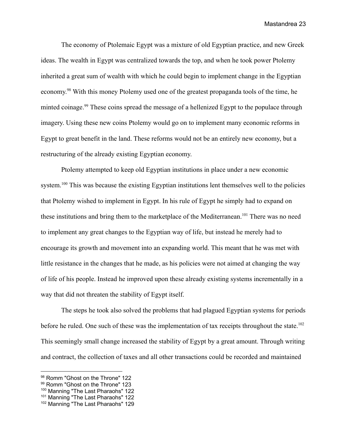The economy of Ptolemaic Egypt was a mixture of old Egyptian practice, and new Greek ideas. The wealth in Egypt was centralized towards the top, and when he took power Ptolemy inherited a great sum of wealth with which he could begin to implement change in the Egyptian economy.<sup>98</sup> With this money Ptolemy used one of the greatest propaganda tools of the time, he minted coinage.<sup>99</sup> These coins spread the message of a hellenized Egypt to the populace through imagery. Using these new coins Ptolemy would go on to implement many economic reforms in Egypt to great benefit in the land. These reforms would not be an entirely new economy, but a restructuring of the already existing Egyptian economy.

Ptolemy attempted to keep old Egyptian institutions in place under a new economic system.<sup>100</sup> This was because the existing Egyptian institutions lent themselves well to the policies that Ptolemy wished to implement in Egypt. In his rule of Egypt he simply had to expand on these institutions and bring them to the marketplace of the Mediterranean.<sup>101</sup> There was no need to implement any great changes to the Egyptian way of life, but instead he merely had to encourage its growth and movement into an expanding world. This meant that he was met with little resistance in the changes that he made, as his policies were not aimed at changing the way of life of his people. Instead he improved upon these already existing systems incrementally in a way that did not threaten the stability of Egypt itself.

The steps he took also solved the problems that had plagued Egyptian systems for periods before he ruled. One such of these was the implementation of tax receipts throughout the state.<sup>102</sup> This seemingly small change increased the stability of Egypt by a great amount. Through writing and contract, the collection of taxes and all other transactions could be recorded and maintained

<sup>98</sup> Romm "Ghost on the Throne" 122

<sup>99</sup> Romm "Ghost on the Throne" 123

<sup>&</sup>lt;sup>100</sup> Manning "The Last Pharaohs" 122

<sup>&</sup>lt;sup>101</sup> Manning "The Last Pharaohs" 122

<sup>&</sup>lt;sup>102</sup> Manning "The Last Pharaohs" 129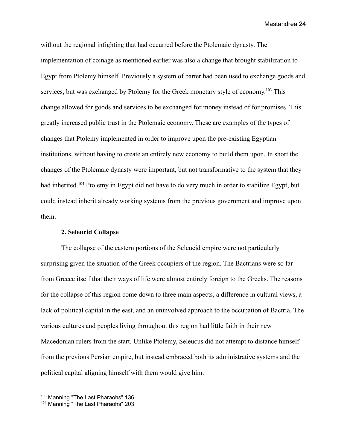without the regional infighting that had occurred before the Ptolemaic dynasty. The implementation of coinage as mentioned earlier was also a change that brought stabilization to Egypt from Ptolemy himself. Previously a system of barter had been used to exchange goods and services, but was exchanged by Ptolemy for the Greek monetary style of economy.<sup>103</sup> This change allowed for goods and services to be exchanged for money instead of for promises. This greatly increased public trust in the Ptolemaic economy. These are examples of the types of changes that Ptolemy implemented in order to improve upon the pre-existing Egyptian institutions, without having to create an entirely new economy to build them upon. In short the changes of the Ptolemaic dynasty were important, but not transformative to the system that they had inherited.<sup>104</sup> Ptolemy in Egypt did not have to do very much in order to stabilize Egypt, but could instead inherit already working systems from the previous government and improve upon them.

# **2. Seleucid Collapse**

The collapse of the eastern portions of the Seleucid empire were not particularly surprising given the situation of the Greek occupiers of the region. The Bactrians were so far from Greece itself that their ways of life were almost entirely foreign to the Greeks. The reasons for the collapse of this region come down to three main aspects, a difference in cultural views, a lack of political capital in the east, and an uninvolved approach to the occupation of Bactria. The various cultures and peoples living throughout this region had little faith in their new Macedonian rulers from the start. Unlike Ptolemy, Seleucus did not attempt to distance himself from the previous Persian empire, but instead embraced both its administrative systems and the political capital aligning himself with them would give him.

<sup>&</sup>lt;sup>103</sup> Manning "The Last Pharaohs" 136

<sup>&</sup>lt;sup>104</sup> Manning "The Last Pharaohs" 203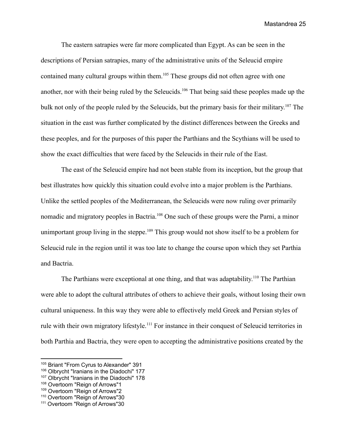The eastern satrapies were far more complicated than Egypt. As can be seen in the descriptions of Persian satrapies, many of the administrative units of the Seleucid empire contained many cultural groups within them.<sup>105</sup> These groups did not often agree with one another, nor with their being ruled by the Seleucids.<sup>106</sup> That being said these peoples made up the bulk not only of the people ruled by the Seleucids, but the primary basis for their military. <sup>107</sup> The situation in the east was further complicated by the distinct differences between the Greeks and these peoples, and for the purposes of this paper the Parthians and the Scythians will be used to show the exact difficulties that were faced by the Seleucids in their rule of the East.

The east of the Seleucid empire had not been stable from its inception, but the group that best illustrates how quickly this situation could evolve into a major problem is the Parthians. Unlike the settled peoples of the Mediterranean, the Seleucids were now ruling over primarily nomadic and migratory peoples in Bactria.<sup>108</sup> One such of these groups were the Parni, a minor unimportant group living in the steppe.<sup>109</sup> This group would not show itself to be a problem for Seleucid rule in the region until it was too late to change the course upon which they set Parthia and Bactria.

The Parthians were exceptional at one thing, and that was adaptability.<sup>110</sup> The Parthian were able to adopt the cultural attributes of others to achieve their goals, without losing their own cultural uniqueness. In this way they were able to effectively meld Greek and Persian styles of rule with their own migratory lifestyle.<sup>111</sup> For instance in their conquest of Seleucid territories in both Parthia and Bactria, they were open to accepting the administrative positions created by the

<sup>105</sup> Briant "From Cyrus to Alexander" 391

<sup>106</sup> Olbrycht "Iranians in the Diadochi" 177

<sup>&</sup>lt;sup>107</sup> Olbrycht "Iranians in the Diadochi" 178

<sup>108</sup> Overtoom "Reign of Arrows"1

<sup>109</sup> Overtoom "Reign of Arrows"2

<sup>110</sup> Overtoom "Reign of Arrows"30

<sup>111</sup> Overtoom "Reign of Arrows"30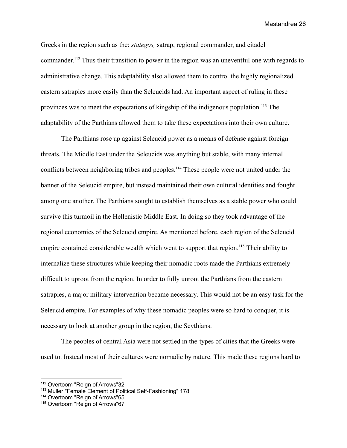Greeks in the region such as the: *stategos,* satrap, regional commander, and citadel commander.<sup>112</sup> Thus their transition to power in the region was an uneventful one with regards to administrative change. This adaptability also allowed them to control the highly regionalized eastern satrapies more easily than the Seleucids had. An important aspect of ruling in these provinces was to meet the expectations of kingship of the indigenous population.<sup>113</sup> The adaptability of the Parthians allowed them to take these expectations into their own culture.

The Parthians rose up against Seleucid power as a means of defense against foreign threats. The Middle East under the Seleucids was anything but stable, with many internal conflicts between neighboring tribes and peoples.<sup>114</sup> These people were not united under the banner of the Seleucid empire, but instead maintained their own cultural identities and fought among one another. The Parthians sought to establish themselves as a stable power who could survive this turmoil in the Hellenistic Middle East. In doing so they took advantage of the regional economies of the Seleucid empire. As mentioned before, each region of the Seleucid empire contained considerable wealth which went to support that region.<sup>115</sup> Their ability to internalize these structures while keeping their nomadic roots made the Parthians extremely difficult to uproot from the region. In order to fully unroot the Parthians from the eastern satrapies, a major military intervention became necessary. This would not be an easy task for the Seleucid empire. For examples of why these nomadic peoples were so hard to conquer, it is necessary to look at another group in the region, the Scythians.

The peoples of central Asia were not settled in the types of cities that the Greeks were used to. Instead most of their cultures were nomadic by nature. This made these regions hard to

<sup>112</sup> Overtoom "Reign of Arrows"32

<sup>113</sup> Muller "Female Element of Political Self-Fashioning" 178

<sup>114</sup> Overtoom "Reign of Arrows"65

<sup>115</sup> Overtoom "Reign of Arrows"67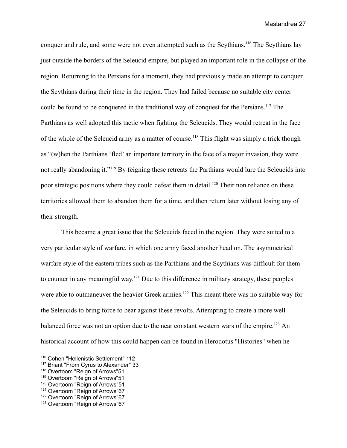conquer and rule, and some were not even attempted such as the Scythians.<sup>116</sup> The Scythians lay just outside the borders of the Seleucid empire, but played an important role in the collapse of the region. Returning to the Persians for a moment, they had previously made an attempt to conquer the Scythians during their time in the region. They had failed because no suitable city center could be found to be conquered in the traditional way of conquest for the Persians.<sup>117</sup> The Parthians as well adopted this tactic when fighting the Seleucids. They would retreat in the face of the whole of the Seleucid army as a matter of course.<sup>118</sup> This flight was simply a trick though as "(w)hen the Parthians 'fled' an important territory in the face of a major invasion, they were not really abandoning it."<sup>119</sup> By feigning these retreats the Parthians would lure the Seleucids into poor strategic positions where they could defeat them in detail.<sup>120</sup> Their non reliance on these territories allowed them to abandon them for a time, and then return later without losing any of their strength.

This became a great issue that the Seleucids faced in the region. They were suited to a very particular style of warfare, in which one army faced another head on. The asymmetrical warfare style of the eastern tribes such as the Parthians and the Scythians was difficult for them to counter in any meaningful way.<sup>121</sup> Due to this difference in military strategy, these peoples were able to outmaneuver the heavier Greek armies.<sup>122</sup> This meant there was no suitable way for the Seleucids to bring force to bear against these revolts. Attempting to create a more well balanced force was not an option due to the near constant western wars of the empire.<sup>123</sup> An historical account of how this could happen can be found in Herodotus "Histories" when he

<sup>116</sup> Cohen "Hellenistic Settlement" 112

<sup>117</sup> Briant "From Cyrus to Alexander" 33

<sup>118</sup> Overtoom "Reign of Arrows"51

<sup>119</sup> Overtoom "Reign of Arrows"51

<sup>120</sup> Overtoom "Reign of Arrows"51

<sup>&</sup>lt;sup>121</sup> Overtoom "Reign of Arrows"67

<sup>122</sup> Overtoom "Reign of Arrows"67

<sup>123</sup> Overtoom "Reign of Arrows"67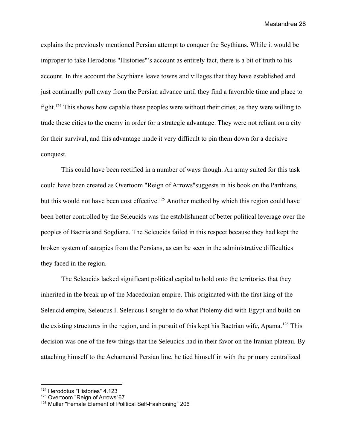explains the previously mentioned Persian attempt to conquer the Scythians. While it would be improper to take Herodotus "Histories"'s account as entirely fact, there is a bit of truth to his account. In this account the Scythians leave towns and villages that they have established and just continually pull away from the Persian advance until they find a favorable time and place to fight.<sup>124</sup> This shows how capable these peoples were without their cities, as they were willing to trade these cities to the enemy in order for a strategic advantage. They were not reliant on a city for their survival, and this advantage made it very difficult to pin them down for a decisive conquest.

This could have been rectified in a number of ways though. An army suited for this task could have been created as Overtoom "Reign of Arrows"suggests in his book on the Parthians, but this would not have been cost effective.<sup>125</sup> Another method by which this region could have been better controlled by the Seleucids was the establishment of better political leverage over the peoples of Bactria and Sogdiana. The Seleucids failed in this respect because they had kept the broken system of satrapies from the Persians, as can be seen in the administrative difficulties they faced in the region.

The Seleucids lacked significant political capital to hold onto the territories that they inherited in the break up of the Macedonian empire. This originated with the first king of the Seleucid empire, Seleucus I. Seleucus I sought to do what Ptolemy did with Egypt and build on the existing structures in the region, and in pursuit of this kept his Bactrian wife, Apama.<sup>126</sup> This decision was one of the few things that the Seleucids had in their favor on the Iranian plateau. By attaching himself to the Achamenid Persian line, he tied himself in with the primary centralized

<sup>124</sup> Herodotus "Histories" 4.123

<sup>125</sup> Overtoom "Reign of Arrows"67

<sup>126</sup> Muller "Female Element of Political Self-Fashioning" 206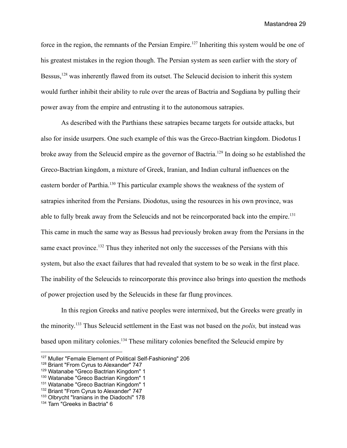force in the region, the remnants of the Persian Empire.<sup>127</sup> Inheriting this system would be one of his greatest mistakes in the region though. The Persian system as seen earlier with the story of Bessus,<sup>128</sup> was inherently flawed from its outset. The Seleucid decision to inherit this system would further inhibit their ability to rule over the areas of Bactria and Sogdiana by pulling their power away from the empire and entrusting it to the autonomous satrapies.

As described with the Parthians these satrapies became targets for outside attacks, but also for inside usurpers. One such example of this was the Greco-Bactrian kingdom. Diodotus I broke away from the Seleucid empire as the governor of Bactria.<sup>129</sup> In doing so he established the Greco-Bactrian kingdom, a mixture of Greek, Iranian, and Indian cultural influences on the eastern border of Parthia.<sup>130</sup> This particular example shows the weakness of the system of satrapies inherited from the Persians. Diodotus, using the resources in his own province, was able to fully break away from the Seleucids and not be reincorporated back into the empire.<sup>131</sup> This came in much the same way as Bessus had previously broken away from the Persians in the same exact province.<sup>132</sup> Thus they inherited not only the successes of the Persians with this system, but also the exact failures that had revealed that system to be so weak in the first place. The inability of the Seleucids to reincorporate this province also brings into question the methods of power projection used by the Seleucids in these far flung provinces.

In this region Greeks and native peoples were intermixed, but the Greeks were greatly in the minority. <sup>133</sup> Thus Seleucid settlement in the East was not based on the *polis,* but instead was based upon military colonies.<sup>134</sup> These military colonies benefited the Seleucid empire by

<sup>127</sup> Muller "Female Element of Political Self-Fashioning" 206

<sup>128</sup> Briant "From Cyrus to Alexander" 747

<sup>129</sup> Watanabe "Greco Bactrian Kingdom" 1

<sup>130</sup> Watanabe "Greco Bactrian Kingdom" 1

<sup>131</sup> Watanabe "Greco Bactrian Kingdom" 1

<sup>132</sup> Briant "From Cyrus to Alexander" 747

<sup>133</sup> Olbrycht "Iranians in the Diadochi" 178

<sup>&</sup>lt;sup>134</sup> Tarn "Greeks in Bactria" 6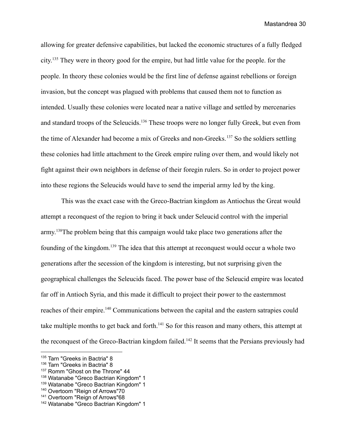allowing for greater defensive capabilities, but lacked the economic structures of a fully fledged city.<sup>135</sup> They were in theory good for the empire, but had little value for the people. for the people. In theory these colonies would be the first line of defense against rebellions or foreign invasion, but the concept was plagued with problems that caused them not to function as intended. Usually these colonies were located near a native village and settled by mercenaries and standard troops of the Seleucids.<sup>136</sup> These troops were no longer fully Greek, but even from the time of Alexander had become a mix of Greeks and non-Greeks.<sup>137</sup> So the soldiers settling these colonies had little attachment to the Greek empire ruling over them, and would likely not fight against their own neighbors in defense of their foregin rulers. So in order to project power into these regions the Seleucids would have to send the imperial army led by the king.

This was the exact case with the Greco-Bactrian kingdom as Antiochus the Great would attempt a reconquest of the region to bring it back under Seleucid control with the imperial army.<sup>138</sup>The problem being that this campaign would take place two generations after the founding of the kingdom.<sup>139</sup> The idea that this attempt at reconquest would occur a whole two generations after the secession of the kingdom is interesting, but not surprising given the geographical challenges the Seleucids faced. The power base of the Seleucid empire was located far off in Antioch Syria, and this made it difficult to project their power to the easternmost reaches of their empire.<sup>140</sup> Communications between the capital and the eastern satrapies could take multiple months to get back and forth.<sup>141</sup> So for this reason and many others, this attempt at the reconquest of the Greco-Bactrian kingdom failed.<sup>142</sup> It seems that the Persians previously had

<sup>&</sup>lt;sup>135</sup> Tarn "Greeks in Bactria" 8

<sup>&</sup>lt;sup>136</sup> Tarn "Greeks in Bactria" 8

<sup>&</sup>lt;sup>137</sup> Romm "Ghost on the Throne" 44

<sup>138</sup> Watanabe "Greco Bactrian Kingdom" 1

<sup>139</sup> Watanabe "Greco Bactrian Kingdom" 1

<sup>140</sup> Overtoom "Reign of Arrows"70

<sup>141</sup> Overtoom "Reign of Arrows"68

<sup>142</sup> Watanabe "Greco Bactrian Kingdom" 1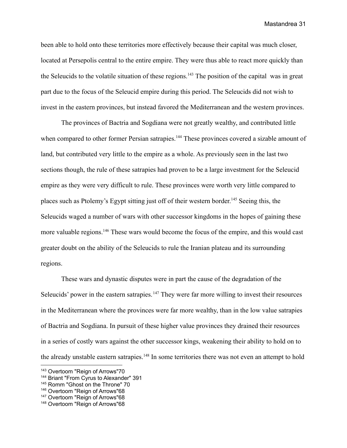been able to hold onto these territories more effectively because their capital was much closer, located at Persepolis central to the entire empire. They were thus able to react more quickly than the Seleucids to the volatile situation of these regions.<sup>143</sup> The position of the capital was in great part due to the focus of the Seleucid empire during this period. The Seleucids did not wish to invest in the eastern provinces, but instead favored the Mediterranean and the western provinces.

The provinces of Bactria and Sogdiana were not greatly wealthy, and contributed little when compared to other former Persian satrapies.<sup>144</sup> These provinces covered a sizable amount of land, but contributed very little to the empire as a whole. As previously seen in the last two sections though, the rule of these satrapies had proven to be a large investment for the Seleucid empire as they were very difficult to rule. These provinces were worth very little compared to places such as Ptolemy's Egypt sitting just off of their western border.<sup>145</sup> Seeing this, the Seleucids waged a number of wars with other successor kingdoms in the hopes of gaining these more valuable regions.<sup>146</sup> These wars would become the focus of the empire, and this would cast greater doubt on the ability of the Seleucids to rule the Iranian plateau and its surrounding regions.

These wars and dynastic disputes were in part the cause of the degradation of the Seleucids' power in the eastern satrapies.<sup>147</sup> They were far more willing to invest their resources in the Mediterranean where the provinces were far more wealthy, than in the low value satrapies of Bactria and Sogdiana. In pursuit of these higher value provinces they drained their resources in a series of costly wars against the other successor kings, weakening their ability to hold on to the already unstable eastern satrapies.<sup>148</sup> In some territories there was not even an attempt to hold

<sup>143</sup> Overtoom "Reign of Arrows"70

<sup>144</sup> Briant "From Cyrus to Alexander" 391

<sup>&</sup>lt;sup>145</sup> Romm "Ghost on the Throne" 70

<sup>146</sup> Overtoom "Reign of Arrows"68

<sup>147</sup> Overtoom "Reign of Arrows"68

<sup>148</sup> Overtoom "Reign of Arrows"68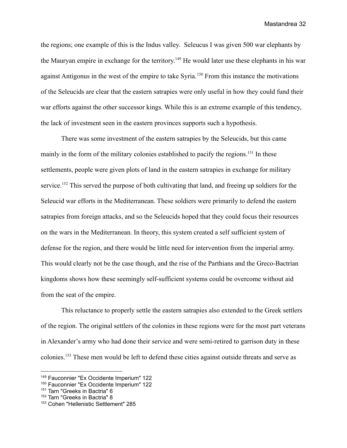the regions; one example of this is the Indus valley. Seleucus I was given 500 war elephants by the Mauryan empire in exchange for the territory.<sup>149</sup> He would later use these elephants in his war against Antigonus in the west of the empire to take Syria.<sup>150</sup> From this instance the motivations of the Seleucids are clear that the eastern satrapies were only useful in how they could fund their war efforts against the other successor kings. While this is an extreme example of this tendency, the lack of investment seen in the eastern provinces supports such a hypothesis.

There was some investment of the eastern satrapies by the Seleucids, but this came mainly in the form of the military colonies established to pacify the regions.<sup>151</sup> In these settlements, people were given plots of land in the eastern satrapies in exchange for military service.<sup>152</sup> This served the purpose of both cultivating that land, and freeing up soldiers for the Seleucid war efforts in the Mediterranean. These soldiers were primarily to defend the eastern satrapies from foreign attacks, and so the Seleucids hoped that they could focus their resources on the wars in the Mediterranean. In theory, this system created a self sufficient system of defense for the region, and there would be little need for intervention from the imperial army. This would clearly not be the case though, and the rise of the Parthians and the Greco-Bactrian kingdoms shows how these seemingly self-sufficient systems could be overcome without aid from the seat of the empire.

This reluctance to properly settle the eastern satrapies also extended to the Greek settlers of the region. The original settlers of the colonies in these regions were for the most part veterans in Alexander's army who had done their service and were semi-retired to garrison duty in these colonies.<sup>153</sup> These men would be left to defend these cities against outside threats and serve as

<sup>149</sup> Fauconnier "Ex Occidente Imperium" 122

<sup>150</sup> Fauconnier "Ex Occidente Imperium" 122

<sup>&</sup>lt;sup>151</sup> Tarn "Greeks in Bactria" 6

<sup>&</sup>lt;sup>152</sup> Tarn "Greeks in Bactria" 8

<sup>153</sup> Cohen "Hellenistic Settlement" 285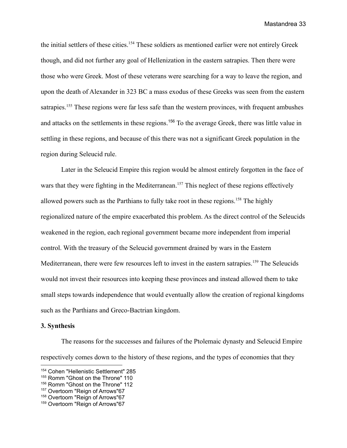the initial settlers of these cities.<sup>154</sup> These soldiers as mentioned earlier were not entirely Greek though, and did not further any goal of Hellenization in the eastern satrapies. Then there were those who were Greek. Most of these veterans were searching for a way to leave the region, and upon the death of Alexander in 323 BC a mass exodus of these Greeks was seen from the eastern satrapies.<sup>155</sup> These regions were far less safe than the western provinces, with frequent ambushes and attacks on the settlements in these regions.<sup>156</sup> To the average Greek, there was little value in settling in these regions, and because of this there was not a significant Greek population in the region during Seleucid rule.

Later in the Seleucid Empire this region would be almost entirely forgotten in the face of wars that they were fighting in the Mediterranean.<sup>157</sup> This neglect of these regions effectively allowed powers such as the Parthians to fully take root in these regions.<sup>158</sup> The highly regionalized nature of the empire exacerbated this problem. As the direct control of the Seleucids weakened in the region, each regional government became more independent from imperial control. With the treasury of the Seleucid government drained by wars in the Eastern Mediterranean, there were few resources left to invest in the eastern satrapies.<sup>159</sup> The Seleucids would not invest their resources into keeping these provinces and instead allowed them to take small steps towards independence that would eventually allow the creation of regional kingdoms such as the Parthians and Greco-Bactrian kingdom.

#### **3. Synthesis**

The reasons for the successes and failures of the Ptolemaic dynasty and Seleucid Empire respectively comes down to the history of these regions, and the types of economies that they

<sup>154</sup> Cohen "Hellenistic Settlement" 285

<sup>&</sup>lt;sup>155</sup> Romm "Ghost on the Throne" 110

<sup>156</sup> Romm "Ghost on the Throne" 112

<sup>157</sup> Overtoom "Reign of Arrows"67

<sup>158</sup> Overtoom "Reign of Arrows"67

<sup>159</sup> Overtoom "Reign of Arrows"67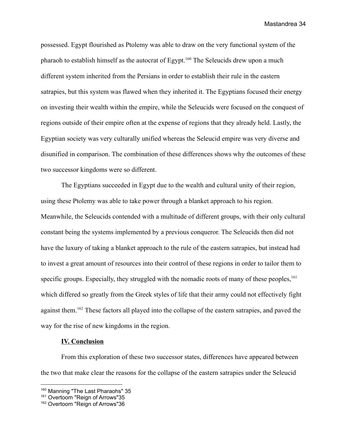possessed. Egypt flourished as Ptolemy was able to draw on the very functional system of the pharaoh to establish himself as the autocrat of Egypt.<sup>160</sup> The Seleucids drew upon a much different system inherited from the Persians in order to establish their rule in the eastern satrapies, but this system was flawed when they inherited it. The Egyptians focused their energy on investing their wealth within the empire, while the Seleucids were focused on the conquest of regions outside of their empire often at the expense of regions that they already held. Lastly, the Egyptian society was very culturally unified whereas the Seleucid empire was very diverse and disunified in comparison. The combination of these differences shows why the outcomes of these two successor kingdoms were so different.

The Egyptians succeeded in Egypt due to the wealth and cultural unity of their region, using these Ptolemy was able to take power through a blanket approach to his region. Meanwhile, the Seleucids contended with a multitude of different groups, with their only cultural constant being the systems implemented by a previous conqueror. The Seleucids then did not have the luxury of taking a blanket approach to the rule of the eastern satrapies, but instead had to invest a great amount of resources into their control of these regions in order to tailor them to specific groups. Especially, they struggled with the nomadic roots of many of these peoples,  $161$ which differed so greatly from the Greek styles of life that their army could not effectively fight against them.<sup>162</sup> These factors all played into the collapse of the eastern satrapies, and paved the way for the rise of new kingdoms in the region.

# **IV. Conclusion**

From this exploration of these two successor states, differences have appeared between the two that make clear the reasons for the collapse of the eastern satrapies under the Seleucid

<sup>&</sup>lt;sup>160</sup> Manning "The Last Pharaohs" 35

<sup>&</sup>lt;sup>161</sup> Overtoom "Reign of Arrows"35

<sup>162</sup> Overtoom "Reign of Arrows"36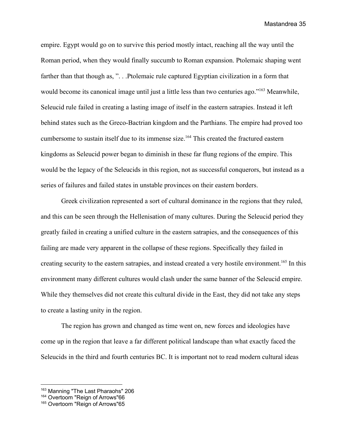empire. Egypt would go on to survive this period mostly intact, reaching all the way until the Roman period, when they would finally succumb to Roman expansion. Ptolemaic shaping went farther than that though as, "... Ptolemaic rule captured Egyptian civilization in a form that would become its canonical image until just a little less than two centuries ago."<sup>163</sup> Meanwhile, Seleucid rule failed in creating a lasting image of itself in the eastern satrapies. Instead it left behind states such as the Greco-Bactrian kingdom and the Parthians. The empire had proved too cumbersome to sustain itself due to its immense size.<sup>164</sup> This created the fractured eastern kingdoms as Seleucid power began to diminish in these far flung regions of the empire. This would be the legacy of the Seleucids in this region, not as successful conquerors, but instead as a series of failures and failed states in unstable provinces on their eastern borders.

Greek civilization represented a sort of cultural dominance in the regions that they ruled, and this can be seen through the Hellenisation of many cultures. During the Seleucid period they greatly failed in creating a unified culture in the eastern satrapies, and the consequences of this failing are made very apparent in the collapse of these regions. Specifically they failed in creating security to the eastern satrapies, and instead created a very hostile environment.<sup>165</sup> In this environment many different cultures would clash under the same banner of the Seleucid empire. While they themselves did not create this cultural divide in the East, they did not take any steps to create a lasting unity in the region.

The region has grown and changed as time went on, new forces and ideologies have come up in the region that leave a far different political landscape than what exactly faced the Seleucids in the third and fourth centuries BC. It is important not to read modern cultural ideas

<sup>&</sup>lt;sup>163</sup> Manning "The Last Pharaohs" 206

<sup>&</sup>lt;sup>164</sup> Overtoom "Reign of Arrows"66

<sup>165</sup> Overtoom "Reign of Arrows"65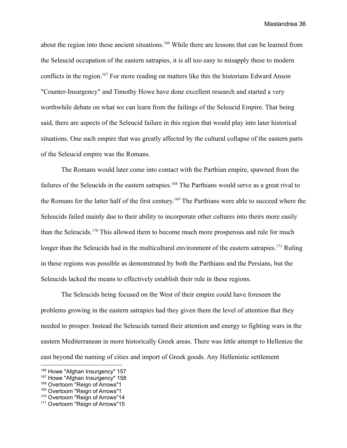about the region into these ancient situations.<sup>166</sup> While there are lessons that can be learned from the Seleucid occupation of the eastern satrapies, it is all too easy to misapply these to modern conflicts in the region.<sup>167</sup> For more reading on matters like this the historians Edward Anson "Counter-Insurgency" and Timothy Howe have done excellent research and started a very worthwhile debate on what we can learn from the failings of the Seleucid Empire. That being said, there are aspects of the Seleucid failure in this region that would play into later historical situations. One such empire that was greatly affected by the cultural collapse of the eastern parts of the Seleucid empire was the Romans.

The Romans would later come into contact with the Parthian empire, spawned from the failures of the Seleucids in the eastern satrapies.<sup>168</sup> The Parthians would serve as a great rival to the Romans for the latter half of the first century. <sup>169</sup> The Parthians were able to succeed where the Seleucids failed mainly due to their ability to incorporate other cultures into theirs more easily than the Seleucids.<sup>170</sup> This allowed them to become much more prosperous and rule for much longer than the Seleucids had in the multicultural environment of the eastern satrapies.<sup>171</sup> Ruling in these regions was possible as demonstrated by both the Parthians and the Persians, but the Seleucids lacked the means to effectively establish their rule in these regions.

The Seleucids being focused on the West of their empire could have foreseen the problems growing in the eastern satrapies had they given them the level of attention that they needed to prosper. Instead the Seleucids turned their attention and energy to fighting wars in the eastern Mediterranean in more historically Greek areas. There was little attempt to Hellenize the east beyond the naming of cities and import of Greek goods. Any Hellenistic settlement

<sup>166</sup> Howe "Afghan Insurgency" 157

<sup>&</sup>lt;sup>167</sup> Howe "Afghan Insurgency" 158

<sup>168</sup> Overtoom "Reign of Arrows"1

<sup>169</sup> Overtoom "Reign of Arrows"1

<sup>&</sup>lt;sup>170</sup> Overtoom "Reign of Arrows"14

<sup>171</sup> Overtoom "Reign of Arrows"15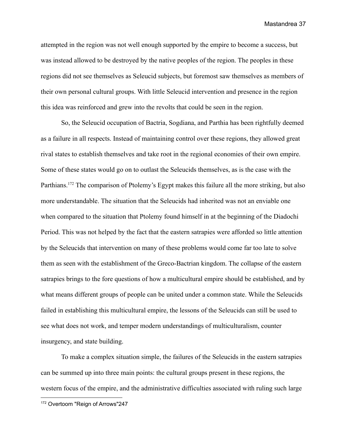attempted in the region was not well enough supported by the empire to become a success, but was instead allowed to be destroyed by the native peoples of the region. The peoples in these regions did not see themselves as Seleucid subjects, but foremost saw themselves as members of their own personal cultural groups. With little Seleucid intervention and presence in the region this idea was reinforced and grew into the revolts that could be seen in the region.

So, the Seleucid occupation of Bactria, Sogdiana, and Parthia has been rightfully deemed as a failure in all respects. Instead of maintaining control over these regions, they allowed great rival states to establish themselves and take root in the regional economies of their own empire. Some of these states would go on to outlast the Seleucids themselves, as is the case with the Parthians.<sup>172</sup> The comparison of Ptolemy's Egypt makes this failure all the more striking, but also more understandable. The situation that the Seleucids had inherited was not an enviable one when compared to the situation that Ptolemy found himself in at the beginning of the Diadochi Period. This was not helped by the fact that the eastern satrapies were afforded so little attention by the Seleucids that intervention on many of these problems would come far too late to solve them as seen with the establishment of the Greco-Bactrian kingdom. The collapse of the eastern satrapies brings to the fore questions of how a multicultural empire should be established, and by what means different groups of people can be united under a common state. While the Seleucids failed in establishing this multicultural empire, the lessons of the Seleucids can still be used to see what does not work, and temper modern understandings of multiculturalism, counter insurgency, and state building.

To make a complex situation simple, the failures of the Seleucids in the eastern satrapies can be summed up into three main points: the cultural groups present in these regions, the western focus of the empire, and the administrative difficulties associated with ruling such large

<sup>172</sup> Overtoom "Reign of Arrows"247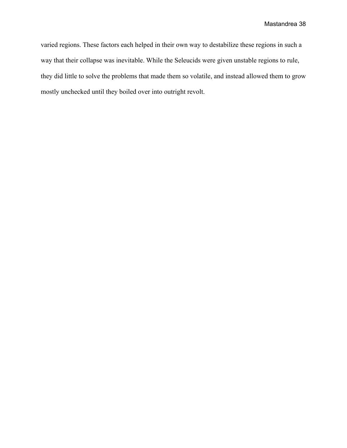varied regions. These factors each helped in their own way to destabilize these regions in such a way that their collapse was inevitable. While the Seleucids were given unstable regions to rule, they did little to solve the problems that made them so volatile, and instead allowed them to grow mostly unchecked until they boiled over into outright revolt.